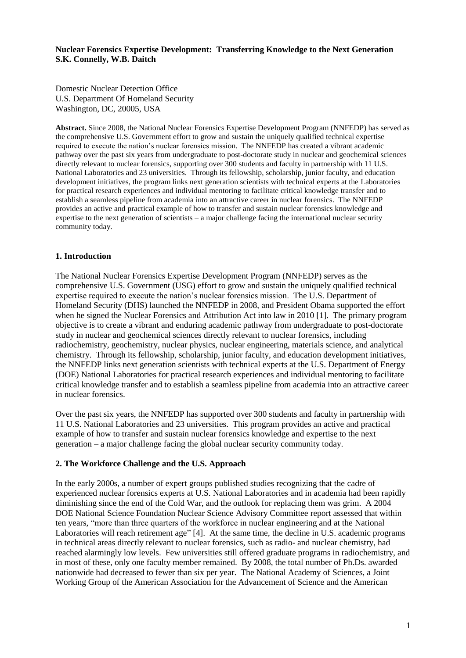### **Nuclear Forensics Expertise Development: Transferring Knowledge to the Next Generation S.K. Connelly, W.B. Daitch**

Domestic Nuclear Detection Office U.S. Department Of Homeland Security Washington, DC, 20005, USA

**Abstract.** Since 2008, the National Nuclear Forensics Expertise Development Program (NNFEDP) has served as the comprehensive U.S. Government effort to grow and sustain the uniquely qualified technical expertise required to execute the nation's nuclear forensics mission. The NNFEDP has created a vibrant academic pathway over the past six years from undergraduate to post-doctorate study in nuclear and geochemical sciences directly relevant to nuclear forensics, supporting over 300 students and faculty in partnership with 11 U.S. National Laboratories and 23 universities. Through its fellowship, scholarship, junior faculty, and education development initiatives, the program links next generation scientists with technical experts at the Laboratories for practical research experiences and individual mentoring to facilitate critical knowledge transfer and to establish a seamless pipeline from academia into an attractive career in nuclear forensics. The NNFEDP provides an active and practical example of how to transfer and sustain nuclear forensics knowledge and expertise to the next generation of scientists – a major challenge facing the international nuclear security community today.

### **1. Introduction**

The National Nuclear Forensics Expertise Development Program (NNFEDP) serves as the comprehensive U.S. Government (USG) effort to grow and sustain the uniquely qualified technical expertise required to execute the nation's nuclear forensics mission. The U.S. Department of Homeland Security (DHS) launched the NNFEDP in 2008, and President Obama supported the effort when he signed the Nuclear Forensics and Attribution Act into law in 2010 [1]. The primary program objective is to create a vibrant and enduring academic pathway from undergraduate to post-doctorate study in nuclear and geochemical sciences directly relevant to nuclear forensics, including radiochemistry, geochemistry, nuclear physics, nuclear engineering, materials science, and analytical chemistry. Through its fellowship, scholarship, junior faculty, and education development initiatives, the NNFEDP links next generation scientists with technical experts at the U.S. Department of Energy (DOE) National Laboratories for practical research experiences and individual mentoring to facilitate critical knowledge transfer and to establish a seamless pipeline from academia into an attractive career in nuclear forensics.

Over the past six years, the NNFEDP has supported over 300 students and faculty in partnership with 11 U.S. National Laboratories and 23 universities. This program provides an active and practical example of how to transfer and sustain nuclear forensics knowledge and expertise to the next generation – a major challenge facing the global nuclear security community today.

### **2. The Workforce Challenge and the U.S. Approach**

In the early 2000s, a number of expert groups published studies recognizing that the cadre of experienced nuclear forensics experts at U.S. National Laboratories and in academia had been rapidly diminishing since the end of the Cold War, and the outlook for replacing them was grim. A 2004 DOE National Science Foundation Nuclear Science Advisory Committee report assessed that within ten years, "more than three quarters of the workforce in nuclear engineering and at the National Laboratories will reach retirement age" [4]. At the same time, the decline in U.S. academic programs in technical areas directly relevant to nuclear forensics, such as radio- and nuclear chemistry, had reached alarmingly low levels. Few universities still offered graduate programs in radiochemistry, and in most of these, only one faculty member remained. By 2008, the total number of Ph.Ds. awarded nationwide had decreased to fewer than six per year. The National Academy of Sciences, a Joint Working Group of the American Association for the Advancement of Science and the American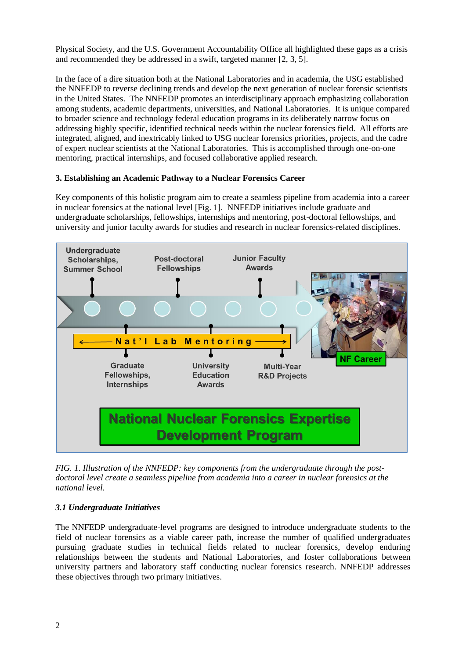Physical Society, and the U.S. Government Accountability Office all highlighted these gaps as a crisis and recommended they be addressed in a swift, targeted manner [2, 3, 5].

In the face of a dire situation both at the National Laboratories and in academia, the USG established the NNFEDP to reverse declining trends and develop the next generation of nuclear forensic scientists in the United States. The NNFEDP promotes an interdisciplinary approach emphasizing collaboration among students, academic departments, universities, and National Laboratories. It is unique compared to broader science and technology federal education programs in its deliberately narrow focus on addressing highly specific, identified technical needs within the nuclear forensics field. All efforts are integrated, aligned, and inextricably linked to USG nuclear forensics priorities, projects, and the cadre of expert nuclear scientists at the National Laboratories. This is accomplished through one-on-one mentoring, practical internships, and focused collaborative applied research.

## **3. Establishing an Academic Pathway to a Nuclear Forensics Career**

Key components of this holistic program aim to create a seamless pipeline from academia into a career in nuclear forensics at the national level [Fig. 1]. NNFEDP initiatives include graduate and undergraduate scholarships, fellowships, internships and mentoring, post-doctoral fellowships, and university and junior faculty awards for studies and research in nuclear forensics-related disciplines.



*FIG. 1. Illustration of the NNFEDP: key components from the undergraduate through the postdoctoral level create a seamless pipeline from academia into a career in nuclear forensics at the national level.* 

## *3.1 Undergraduate Initiatives*

The NNFEDP undergraduate-level programs are designed to introduce undergraduate students to the field of nuclear forensics as a viable career path, increase the number of qualified undergraduates pursuing graduate studies in technical fields related to nuclear forensics, develop enduring relationships between the students and National Laboratories, and foster collaborations between university partners and laboratory staff conducting nuclear forensics research. NNFEDP addresses these objectives through two primary initiatives.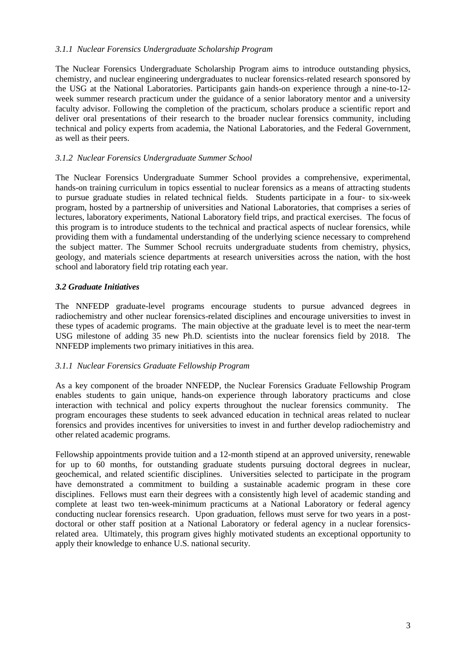### *3.1.1 Nuclear Forensics Undergraduate Scholarship Program*

The Nuclear Forensics Undergraduate Scholarship Program aims to introduce outstanding physics, chemistry, and nuclear engineering undergraduates to nuclear forensics-related research sponsored by the USG at the National Laboratories. Participants gain hands-on experience through a nine-to-12 week summer research practicum under the guidance of a senior laboratory mentor and a university faculty advisor. Following the completion of the practicum, scholars produce a scientific report and deliver oral presentations of their research to the broader nuclear forensics community, including technical and policy experts from academia, the National Laboratories, and the Federal Government, as well as their peers.

## *3.1.2 Nuclear Forensics Undergraduate Summer School*

The Nuclear Forensics Undergraduate Summer School provides a comprehensive, experimental, hands-on training curriculum in topics essential to nuclear forensics as a means of attracting students to pursue graduate studies in related technical fields. Students participate in a four- to six-week program, hosted by a partnership of universities and National Laboratories, that comprises a series of lectures, laboratory experiments, National Laboratory field trips, and practical exercises. The focus of this program is to introduce students to the technical and practical aspects of nuclear forensics, while providing them with a fundamental understanding of the underlying science necessary to comprehend the subject matter. The Summer School recruits undergraduate students from chemistry, physics, geology, and materials science departments at research universities across the nation, with the host school and laboratory field trip rotating each year.

## *3.2 Graduate Initiatives*

The NNFEDP graduate-level programs encourage students to pursue advanced degrees in radiochemistry and other nuclear forensics-related disciplines and encourage universities to invest in these types of academic programs. The main objective at the graduate level is to meet the near-term USG milestone of adding 35 new Ph.D. scientists into the nuclear forensics field by 2018. The NNFEDP implements two primary initiatives in this area.

### *3.1.1 Nuclear Forensics Graduate Fellowship Program*

As a key component of the broader NNFEDP, the Nuclear Forensics Graduate Fellowship Program enables students to gain unique, hands-on experience through laboratory practicums and close interaction with technical and policy experts throughout the nuclear forensics community. The program encourages these students to seek advanced education in technical areas related to nuclear forensics and provides incentives for universities to invest in and further develop radiochemistry and other related academic programs.

Fellowship appointments provide tuition and a 12-month stipend at an approved university, renewable for up to 60 months, for outstanding graduate students pursuing doctoral degrees in nuclear, geochemical, and related scientific disciplines. Universities selected to participate in the program have demonstrated a commitment to building a sustainable academic program in these core disciplines. Fellows must earn their degrees with a consistently high level of academic standing and complete at least two ten-week-minimum practicums at a National Laboratory or federal agency conducting nuclear forensics research. Upon graduation, fellows must serve for two years in a postdoctoral or other staff position at a National Laboratory or federal agency in a nuclear forensicsrelated area. Ultimately, this program gives highly motivated students an exceptional opportunity to apply their knowledge to enhance U.S. national security.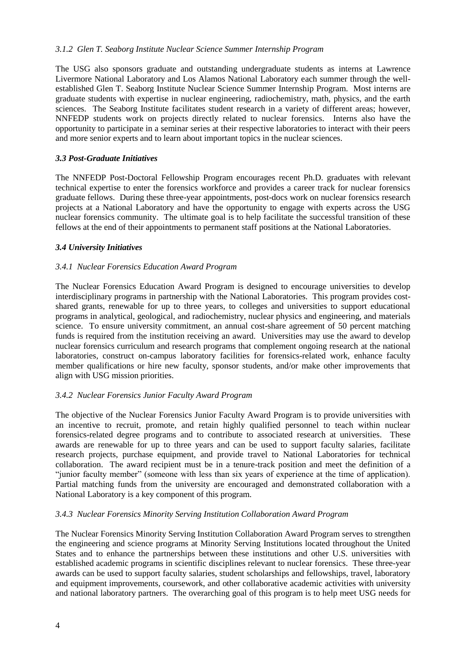### *3.1.2 Glen T. Seaborg Institute Nuclear Science Summer Internship Program*

The USG also sponsors graduate and outstanding undergraduate students as interns at Lawrence Livermore National Laboratory and Los Alamos National Laboratory each summer through the wellestablished Glen T. Seaborg Institute Nuclear Science Summer Internship Program. Most interns are graduate students with expertise in nuclear engineering, radiochemistry, math, physics, and the earth sciences. The Seaborg Institute facilitates student research in a variety of different areas; however, NNFEDP students work on projects directly related to nuclear forensics. Interns also have the opportunity to participate in a seminar series at their respective laboratories to interact with their peers and more senior experts and to learn about important topics in the nuclear sciences.

### *3.3 Post-Graduate Initiatives*

The NNFEDP Post-Doctoral Fellowship Program encourages recent Ph.D. graduates with relevant technical expertise to enter the forensics workforce and provides a career track for nuclear forensics graduate fellows. During these three-year appointments, post-docs work on nuclear forensics research projects at a National Laboratory and have the opportunity to engage with experts across the USG nuclear forensics community. The ultimate goal is to help facilitate the successful transition of these fellows at the end of their appointments to permanent staff positions at the National Laboratories.

### *3.4 University Initiatives*

### *3.4.1 Nuclear Forensics Education Award Program*

The Nuclear Forensics Education Award Program is designed to encourage universities to develop interdisciplinary programs in partnership with the National Laboratories. This program provides costshared grants, renewable for up to three years, to colleges and universities to support educational programs in analytical, geological, and radiochemistry, nuclear physics and engineering, and materials science. To ensure university commitment, an annual cost-share agreement of 50 percent matching funds is required from the institution receiving an award. Universities may use the award to develop nuclear forensics curriculum and research programs that complement ongoing research at the national laboratories, construct on-campus laboratory facilities for forensics-related work, enhance faculty member qualifications or hire new faculty, sponsor students, and/or make other improvements that align with USG mission priorities.

### *3.4.2 Nuclear Forensics Junior Faculty Award Program*

The objective of the Nuclear Forensics Junior Faculty Award Program is to provide universities with an incentive to recruit, promote, and retain highly qualified personnel to teach within nuclear forensics-related degree programs and to contribute to associated research at universities. These awards are renewable for up to three years and can be used to support faculty salaries, facilitate research projects, purchase equipment, and provide travel to National Laboratories for technical collaboration. The award recipient must be in a tenure-track position and meet the definition of a "junior faculty member" (someone with less than six years of experience at the time of application). Partial matching funds from the university are encouraged and demonstrated collaboration with a National Laboratory is a key component of this program.

### *3.4.3 Nuclear Forensics Minority Serving Institution Collaboration Award Program*

The Nuclear Forensics Minority Serving Institution Collaboration Award Program serves to strengthen the engineering and science programs at Minority Serving Institutions located throughout the United States and to enhance the partnerships between these institutions and other U.S. universities with established academic programs in scientific disciplines relevant to nuclear forensics. These three-year awards can be used to support faculty salaries, student scholarships and fellowships, travel, laboratory and equipment improvements, coursework, and other collaborative academic activities with university and national laboratory partners. The overarching goal of this program is to help meet USG needs for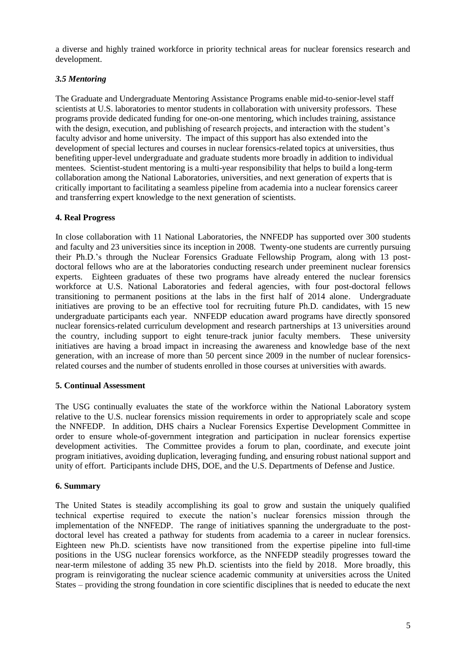a diverse and highly trained workforce in priority technical areas for nuclear forensics research and development.

# *3.5 Mentoring*

The Graduate and Undergraduate Mentoring Assistance Programs enable mid-to-senior-level staff scientists at U.S. laboratories to mentor students in collaboration with university professors. These programs provide dedicated funding for one-on-one mentoring, which includes training, assistance with the design, execution, and publishing of research projects, and interaction with the student's faculty advisor and home university. The impact of this support has also extended into the development of special lectures and courses in nuclear forensics-related topics at universities, thus benefiting upper-level undergraduate and graduate students more broadly in addition to individual mentees. Scientist-student mentoring is a multi-year responsibility that helps to build a long-term collaboration among the National Laboratories, universities, and next generation of experts that is critically important to facilitating a seamless pipeline from academia into a nuclear forensics career and transferring expert knowledge to the next generation of scientists.

## **4. Real Progress**

In close collaboration with 11 National Laboratories, the NNFEDP has supported over 300 students and faculty and 23 universities since its inception in 2008. Twenty-one students are currently pursuing their Ph.D.'s through the Nuclear Forensics Graduate Fellowship Program, along with 13 postdoctoral fellows who are at the laboratories conducting research under preeminent nuclear forensics experts. Eighteen graduates of these two programs have already entered the nuclear forensics workforce at U.S. National Laboratories and federal agencies, with four post-doctoral fellows transitioning to permanent positions at the labs in the first half of 2014 alone. Undergraduate initiatives are proving to be an effective tool for recruiting future Ph.D. candidates, with 15 new undergraduate participants each year. NNFEDP education award programs have directly sponsored nuclear forensics-related curriculum development and research partnerships at 13 universities around the country, including support to eight tenure-track junior faculty members. These university initiatives are having a broad impact in increasing the awareness and knowledge base of the next generation, with an increase of more than 50 percent since 2009 in the number of nuclear forensicsrelated courses and the number of students enrolled in those courses at universities with awards.

### **5. Continual Assessment**

The USG continually evaluates the state of the workforce within the National Laboratory system relative to the U.S. nuclear forensics mission requirements in order to appropriately scale and scope the NNFEDP. In addition, DHS chairs a Nuclear Forensics Expertise Development Committee in order to ensure whole-of-government integration and participation in nuclear forensics expertise development activities. The Committee provides a forum to plan, coordinate, and execute joint program initiatives, avoiding duplication, leveraging funding, and ensuring robust national support and unity of effort. Participants include DHS, DOE, and the U.S. Departments of Defense and Justice.

### **6. Summary**

The United States is steadily accomplishing its goal to grow and sustain the uniquely qualified technical expertise required to execute the nation's nuclear forensics mission through the implementation of the NNFEDP. The range of initiatives spanning the undergraduate to the postdoctoral level has created a pathway for students from academia to a career in nuclear forensics. Eighteen new Ph.D. scientists have now transitioned from the expertise pipeline into full-time positions in the USG nuclear forensics workforce, as the NNFEDP steadily progresses toward the near-term milestone of adding 35 new Ph.D. scientists into the field by 2018. More broadly, this program is reinvigorating the nuclear science academic community at universities across the United States – providing the strong foundation in core scientific disciplines that is needed to educate the next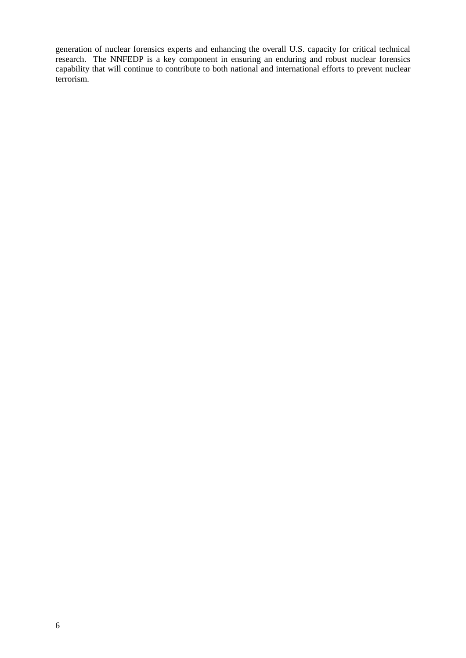generation of nuclear forensics experts and enhancing the overall U.S. capacity for critical technical research. The NNFEDP is a key component in ensuring an enduring and robust nuclear forensics capability that will continue to contribute to both national and international efforts to prevent nuclear terrorism.